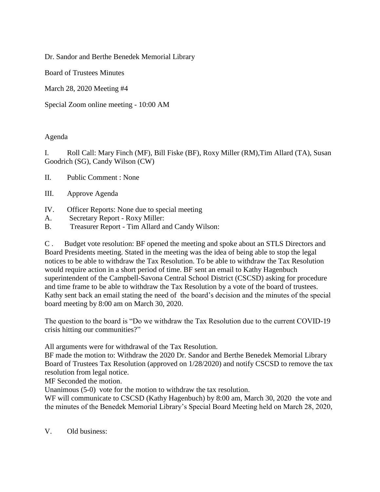Dr. Sandor and Berthe Benedek Memorial Library

Board of Trustees Minutes

March 28, 2020 Meeting #4

Special Zoom online meeting - 10:00 AM

## Agenda

I. Roll Call: Mary Finch (MF), Bill Fiske (BF), Roxy Miller (RM),Tim Allard (TA), Susan Goodrich (SG), Candy Wilson (CW)

II. Public Comment : None

- III. Approve Agenda
- IV. Officer Reports: None due to special meeting
- A. Secretary Report Roxy Miller:
- B. Treasurer Report Tim Allard and Candy Wilson:

C . Budget vote resolution: BF opened the meeting and spoke about an STLS Directors and Board Presidents meeting. Stated in the meeting was the idea of being able to stop the legal notices to be able to withdraw the Tax Resolution. To be able to withdraw the Tax Resolution would require action in a short period of time. BF sent an email to Kathy Hagenbuch superintendent of the Campbell-Savona Central School District (CSCSD) asking for procedure and time frame to be able to withdraw the Tax Resolution by a vote of the board of trustees. Kathy sent back an email stating the need of the board's decision and the minutes of the special board meeting by 8:00 am on March 30, 2020.

The question to the board is "Do we withdraw the Tax Resolution due to the current COVID-19 crisis hitting our communities?"

All arguments were for withdrawal of the Tax Resolution.

BF made the motion to: Withdraw the 2020 Dr. Sandor and Berthe Benedek Memorial Library Board of Trustees Tax Resolution (approved on 1/28/2020) and notify CSCSD to remove the tax resolution from legal notice.

MF Seconded the motion.

Unanimous (5-0) vote for the motion to withdraw the tax resolution.

WF will communicate to CSCSD (Kathy Hagenbuch) by 8:00 am, March 30, 2020 the vote and the minutes of the Benedek Memorial Library's Special Board Meeting held on March 28, 2020,

V. Old business: